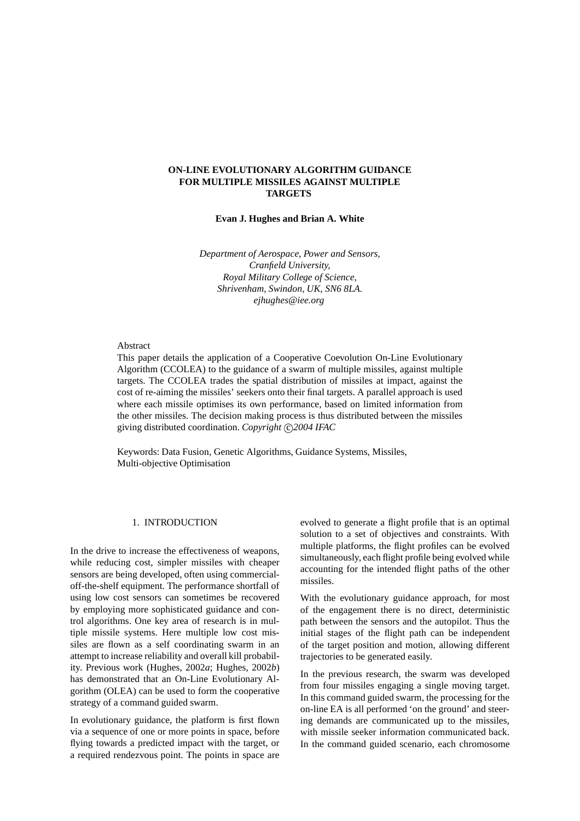# **ON-LINE EVOLUTIONARY ALGORITHM GUIDANCE FOR MULTIPLE MISSILES AGAINST MULTIPLE TARGETS**

## **Evan J. Hughes and Brian A. White**

*Department of Aerospace, Power and Sensors, Cranfield University, Royal Military College of Science, Shrivenham, Swindon, UK, SN6 8LA. ejhughes@iee.org*

# Abstract

This paper details the application of a Cooperative Coevolution On-Line Evolutionary Algorithm (CCOLEA) to the guidance of a swarm of multiple missiles, against multiple targets. The CCOLEA trades the spatial distribution of missiles at impact, against the cost of re-aiming the missiles' seekers onto their final targets. A parallel approach is used where each missile optimises its own performance, based on limited information from the other missiles. The decision making process is thus distributed between the missiles giving distributed coordination. *Copyright* © 2004 IFAC

Keywords: Data Fusion, Genetic Algorithms, Guidance Systems, Missiles, Multi-objective Optimisation

## 1. INTRODUCTION

In the drive to increase the effectiveness of weapons, while reducing cost, simpler missiles with cheaper sensors are being developed, often using commercialoff-the-shelf equipment. The performance shortfall of using low cost sensors can sometimes be recovered by employing more sophisticated guidance and control algorithms. One key area of research is in multiple missile systems. Here multiple low cost missiles are flown as a self coordinating swarm in an attempt to increase reliability and overall kill probability. Previous work (Hughes, 2002*a*; Hughes, 2002*b*) has demonstrated that an On-Line Evolutionary Algorithm (OLEA) can be used to form the cooperative strategy of a command guided swarm.

In evolutionary guidance, the platform is first flown via a sequence of one or more points in space, before flying towards a predicted impact with the target, or a required rendezvous point. The points in space are evolved to generate a flight profile that is an optimal solution to a set of objectives and constraints. With multiple platforms, the flight profiles can be evolved simultaneously, each flight profile being evolved while accounting for the intended flight paths of the other missiles.

With the evolutionary guidance approach, for most of the engagement there is no direct, deterministic path between the sensors and the autopilot. Thus the initial stages of the flight path can be independent of the target position and motion, allowing different trajectories to be generated easily.

In the previous research, the swarm was developed from four missiles engaging a single moving target. In this command guided swarm, the processing for the on-line EA is all performed 'on the ground' and steering demands are communicated up to the missiles, with missile seeker information communicated back. In the command guided scenario, each chromosome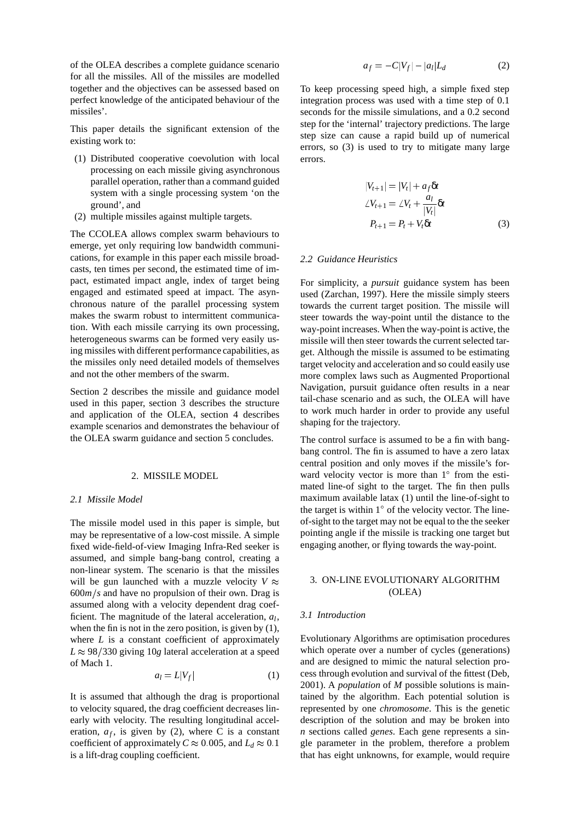of the OLEA describes a complete guidance scenario for all the missiles. All of the missiles are modelled together and the objectives can be assessed based on perfect knowledge of the anticipated behaviour of the missiles'.

This paper details the significant extension of the existing work to:

- (1) Distributed cooperative coevolution with local processing on each missile giving asynchronous parallel operation, rather than a command guided system with a single processing system 'on the ground', and
- (2) multiple missiles against multiple targets.

The CCOLEA allows complex swarm behaviours to emerge, yet only requiring low bandwidth communications, for example in this paper each missile broadcasts, ten times per second, the estimated time of impact, estimated impact angle, index of target being engaged and estimated speed at impact. The asynchronous nature of the parallel processing system makes the swarm robust to intermittent communication. With each missile carrying its own processing, heterogeneous swarms can be formed very easily using missiles with different performance capabilities, as the missiles only need detailed models of themselves and not the other members of the swarm.

Section 2 describes the missile and guidance model used in this paper, section 3 describes the structure and application of the OLEA, section 4 describes example scenarios and demonstrates the behaviour of the OLEA swarm guidance and section 5 concludes.

### 2. MISSILE MODEL

#### *2.1 Missile Model*

The missile model used in this paper is simple, but may be representative of a low-cost missile. A simple fixed wide-field-of-view Imaging Infra-Red seeker is assumed, and simple bang-bang control, creating a non-linear system. The scenario is that the missiles will be gun launched with a muzzle velocity  $V \approx$  $600<sup>m</sup>/s$  and have no propulsion of their own. Drag is assumed along with a velocity dependent drag coefficient. The magnitude of the lateral acceleration, *a<sup>l</sup>* , when the fin is not in the zero position, is given by (1), where *L* is a constant coefficient of approximately  $L \approx 98/330$  giving 10*g* lateral acceleration at a speed of Mach 1.

$$
a_l = L|V_f| \tag{1}
$$

It is assumed that although the drag is proportional to velocity squared, the drag coefficient decreases linearly with velocity. The resulting longitudinal acceleration,  $a_f$ , is given by (2), where C is a constant coefficient of approximately  $C \approx 0.005$ , and  $L_d \approx 0.1$ is a lift-drag coupling coefficient.

$$
a_f = -C|V_f| - |a_l|L_d \tag{2}
$$

To keep processing speed high, a simple fixed step integration process was used with a time step of 0.1 seconds for the missile simulations, and a 0.2 second step for the 'internal' trajectory predictions. The large step size can cause a rapid build up of numerical errors, so (3) is used to try to mitigate many large errors.

$$
|V_{t+1}| = |V_t| + a_f \delta t
$$
  
\n
$$
\angle V_{t+1} = \angle V_t + \frac{a_l}{|V_t|} \delta t
$$
  
\n
$$
P_{t+1} = P_t + V_t \delta t
$$
\n(3)

#### *2.2 Guidance Heuristics*

For simplicity, a *pursuit* guidance system has been used (Zarchan, 1997). Here the missile simply steers towards the current target position. The missile will steer towards the way-point until the distance to the way-point increases. When the way-point is active, the missile will then steer towards the current selected target. Although the missile is assumed to be estimating target velocity and acceleration and so could easily use more complex laws such as Augmented Proportional Navigation, pursuit guidance often results in a near tail-chase scenario and as such, the OLEA will have to work much harder in order to provide any useful shaping for the trajectory.

The control surface is assumed to be a fin with bangbang control. The fin is assumed to have a zero latax central position and only moves if the missile's forward velocity vector is more than  $1^\circ$  from the estimated line-of sight to the target. The fin then pulls maximum available latax (1) until the line-of-sight to the target is within  $1^{\circ}$  of the velocity vector. The lineof-sight to the target may not be equal to the the seeker pointing angle if the missile is tracking one target but engaging another, or flying towards the way-point.

# 3. ON-LINE EVOLUTIONARY ALGORITHM (OLEA)

## *3.1 Introduction*

Evolutionary Algorithms are optimisation procedures which operate over a number of cycles (generations) and are designed to mimic the natural selection process through evolution and survival of the fittest (Deb, 2001). A *population* of *M* possible solutions is maintained by the algorithm. Each potential solution is represented by one *chromosome*. This is the genetic description of the solution and may be broken into *n* sections called *genes*. Each gene represents a single parameter in the problem, therefore a problem that has eight unknowns, for example, would require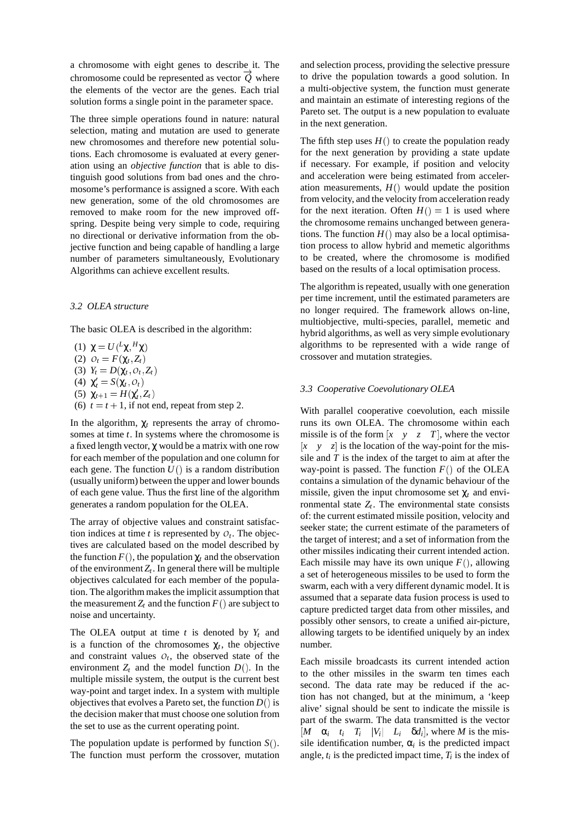a chromosome with eight genes to describe it. The chromosome could be represented as vector  $Q$  where the elements of the vector are the genes. Each trial solution forms a single point in the parameter space.

The three simple operations found in nature: natural selection, mating and mutation are used to generate new chromosomes and therefore new potential solutions. Each chromosome is evaluated at every generation using an *objective function* that is able to distinguish good solutions from bad ones and the chromosome's performance is assigned a score. With each new generation, some of the old chromosomes are removed to make room for the new improved offspring. Despite being very simple to code, requiring no directional or derivative information from the objective function and being capable of handling a large number of parameters simultaneously, Evolutionary Algorithms can achieve excellent results.

### *3.2 OLEA structure*

The basic OLEA is described in the algorithm:

(1) 
$$
\chi = U(\frac{L}{\chi}, H\chi)
$$
  
\n(2) 
$$
O_t = F(\chi_t, Z_t)
$$
  
\n(3) 
$$
Y_t = D(\chi_t, O_t, Z_t)
$$
  
\n(4) 
$$
\chi'_t = S(\chi_t, O_t)
$$
  
\n(5) 
$$
\chi_{t+1} = H(\chi'_t, Z_t)
$$
  
\n(6) 
$$
t = t + 1
$$
, if not end, repeat from step 2.

In the algorithm,  $\chi_t$  represents the array of chromosomes at time *t*. In systems where the chromosome is a fixed length vector, χ would be a matrix with one row for each member of the population and one column for each gene. The function  $U()$  is a random distribution (usually uniform) between the upper and lower bounds of each gene value. Thus the first line of the algorithm generates a random population for the OLEA.

The array of objective values and constraint satisfaction indices at time *t* is represented by  $O_t$ . The objectives are calculated based on the model described by the function  $F()$ , the population  $\chi_t$  and the observation of the environment  $Z_t$ . In general there will be multiple objectives calculated for each member of the population. The algorithm makes the implicit assumption that the measurement  $Z_t$  and the function  $F()$  are subject to noise and uncertainty.

The OLEA output at time  $t$  is denoted by  $Y_t$  and is a function of the chromosomes  $\chi_t$ , the objective and constraint values  $O_t$ , the observed state of the environment  $Z_t$  and the model function  $D()$ . In the multiple missile system, the output is the current best way-point and target index. In a system with multiple objectives that evolves a Pareto set, the function *D*() is the decision maker that must choose one solution from the set to use as the current operating point.

The population update is performed by function *S*(). The function must perform the crossover, mutation

and selection process, providing the selective pressure to drive the population towards a good solution. In a multi-objective system, the function must generate and maintain an estimate of interesting regions of the Pareto set. The output is a new population to evaluate in the next generation.

The fifth step uses  $H()$  to create the population ready for the next generation by providing a state update if necessary. For example, if position and velocity and acceleration were being estimated from acceleration measurements,  $H()$  would update the position from velocity, and the velocity from acceleration ready for the next iteration. Often  $H() = 1$  is used where the chromosome remains unchanged between generations. The function  $H()$  may also be a local optimisation process to allow hybrid and memetic algorithms to be created, where the chromosome is modified based on the results of a local optimisation process.

The algorithm is repeated, usually with one generation per time increment, until the estimated parameters are no longer required. The framework allows on-line, multiobjective, multi-species, parallel, memetic and hybrid algorithms, as well as very simple evolutionary algorithms to be represented with a wide range of crossover and mutation strategies.

#### *3.3 Cooperative Coevolutionary OLEA*

With parallel cooperative coevolution, each missile runs its own OLEA. The chromosome within each missile is of the form  $[x \ y \ z \ T]$ , where the vector  $[x \quad y \quad z]$  is the location of the way-point for the missile and *T* is the index of the target to aim at after the way-point is passed. The function  $F()$  of the OLEA contains a simulation of the dynamic behaviour of the missile, given the input chromosome set  $\chi_t$  and environmental state  $Z_t$ . The environmental state consists of: the current estimated missile position, velocity and seeker state; the current estimate of the parameters of the target of interest; and a set of information from the other missiles indicating their current intended action. Each missile may have its own unique  $F()$ , allowing a set of heterogeneous missiles to be used to form the swarm, each with a very different dynamic model. It is assumed that a separate data fusion process is used to capture predicted target data from other missiles, and possibly other sensors, to create a unified air-picture, allowing targets to be identified uniquely by an index number.

Each missile broadcasts its current intended action to the other missiles in the swarm ten times each second. The data rate may be reduced if the action has not changed, but at the minimum, a 'keep alive' signal should be sent to indicate the missile is part of the swarm. The data transmitted is the vector  $[M \quad \alpha_i \quad t_i \quad T_i \quad |V_i| \quad L_i \quad \delta d_i],$  where *M* is the missile identification number,  $\alpha_i$  is the predicted impact angle,  $t_i$  is the predicted impact time,  $T_i$  is the index of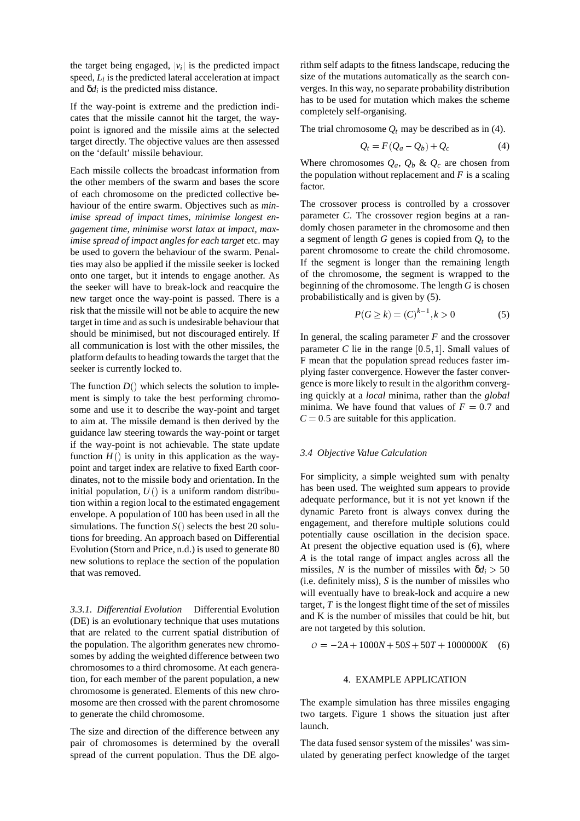the target being engaged,  $|v_i|$  is the predicted impact speed, *L<sup>i</sup>* is the predicted lateral acceleration at impact and  $\delta d_i$  is the predicted miss distance.

If the way-point is extreme and the prediction indicates that the missile cannot hit the target, the waypoint is ignored and the missile aims at the selected target directly. The objective values are then assessed on the 'default' missile behaviour.

Each missile collects the broadcast information from the other members of the swarm and bases the score of each chromosome on the predicted collective behaviour of the entire swarm. Objectives such as *minimise spread of impact times, minimise longest engagement time, minimise worst latax at impact, maximise spread of impact angles for each target* etc. may be used to govern the behaviour of the swarm. Penalties may also be applied if the missile seeker is locked onto one target, but it intends to engage another. As the seeker will have to break-lock and reacquire the new target once the way-point is passed. There is a risk that the missile will not be able to acquire the new target in time and as such is undesirable behaviour that should be minimised, but not discouraged entirely. If all communication is lost with the other missiles, the platform defaults to heading towards the target that the seeker is currently locked to.

The function  $D()$  which selects the solution to implement is simply to take the best performing chromosome and use it to describe the way-point and target to aim at. The missile demand is then derived by the guidance law steering towards the way-point or target if the way-point is not achievable. The state update function  $H()$  is unity in this application as the waypoint and target index are relative to fixed Earth coordinates, not to the missile body and orientation. In the initial population,  $U()$  is a uniform random distribution within a region local to the estimated engagement envelope. A population of 100 has been used in all the simulations. The function  $S()$  selects the best 20 solutions for breeding. An approach based on Differential Evolution (Storn and Price, n.d.) is used to generate 80 new solutions to replace the section of the population that was removed.

*3.3.1. Differential Evolution* Differential Evolution (DE) is an evolutionary technique that uses mutations that are related to the current spatial distribution of the population. The algorithm generates new chromosomes by adding the weighted difference between two chromosomes to a third chromosome. At each generation, for each member of the parent population, a new chromosome is generated. Elements of this new chromosome are then crossed with the parent chromosome to generate the child chromosome.

The size and direction of the difference between any pair of chromosomes is determined by the overall spread of the current population. Thus the DE algorithm self adapts to the fitness landscape, reducing the size of the mutations automatically as the search converges. In this way, no separate probability distribution has to be used for mutation which makes the scheme completely self-organising.

The trial chromosome  $Q_t$  may be described as in (4).

$$
Q_t = F(Q_a - Q_b) + Q_c \tag{4}
$$

Where chromosomes  $Q_a$ ,  $Q_b$  &  $Q_c$  are chosen from the population without replacement and  $F$  is a scaling factor.

The crossover process is controlled by a crossover parameter *C*. The crossover region begins at a randomly chosen parameter in the chromosome and then a segment of length  $G$  genes is copied from  $Q_t$  to the parent chromosome to create the child chromosome. If the segment is longer than the remaining length of the chromosome, the segment is wrapped to the beginning of the chromosome. The length *G* is chosen probabilistically and is given by (5).

$$
P(G \ge k) = (C)^{k-1}, k > 0 \tag{5}
$$

In general, the scaling parameter  $F$  and the crossover parameter *C* lie in the range  $[0.5, 1]$ . Small values of F mean that the population spread reduces faster implying faster convergence. However the faster convergence is more likely to result in the algorithm converging quickly at a *local* minima, rather than the *global* minima. We have found that values of  $F = 0.7$  and  $C = 0.5$  are suitable for this application.

## *3.4 Objective Value Calculation*

For simplicity, a simple weighted sum with penalty has been used. The weighted sum appears to provide adequate performance, but it is not yet known if the dynamic Pareto front is always convex during the engagement, and therefore multiple solutions could potentially cause oscillation in the decision space. At present the objective equation used is (6), where *A* is the total range of impact angles across all the missiles, *N* is the number of missiles with  $\delta d_i > 50$ (i.e. definitely miss), *S* is the number of missiles who will eventually have to break-lock and acquire a new target, *T* is the longest flight time of the set of missiles and K is the number of missiles that could be hit, but are not targeted by this solution.

$$
O = -2A + 1000N + 50S + 50T + 1000000K \quad (6)
$$

# 4. EXAMPLE APPLICATION

The example simulation has three missiles engaging two targets. Figure 1 shows the situation just after launch.

The data fused sensor system of the missiles' was simulated by generating perfect knowledge of the target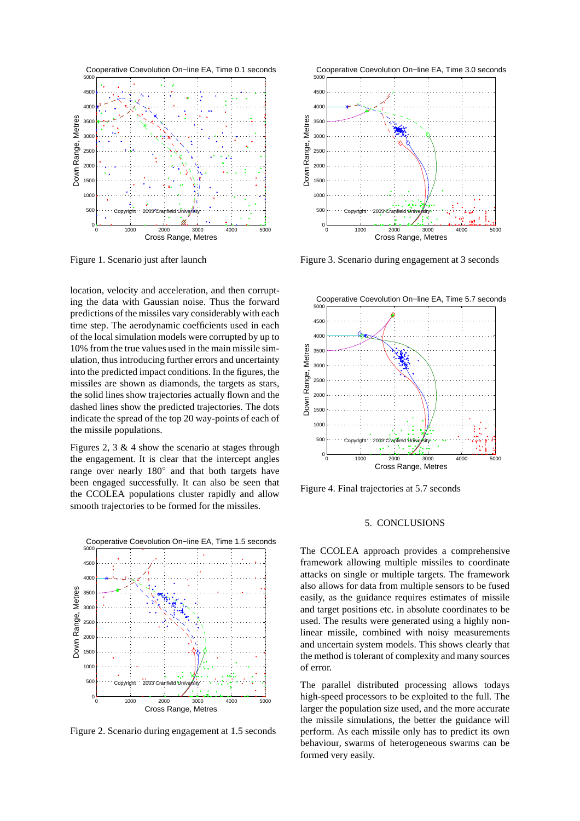

Figure 1. Scenario just after launch

location, velocity and acceleration, and then corrupting the data with Gaussian noise. Thus the forward predictions of the missiles vary considerably with each time step. The aerodynamic coefficients used in each of the local simulation models were corrupted by up to 10% from the true values used in the main missile simulation, thus introducing further errors and uncertainty into the predicted impact conditions. In the figures, the missiles are shown as diamonds, the targets as stars, the solid lines show trajectories actually flown and the dashed lines show the predicted trajectories. The dots indicate the spread of the top 20 way-points of each of the missile populations.

Figures 2, 3  $\&$  4 show the scenario at stages through the engagement. It is clear that the intercept angles range over nearly  $180^\circ$  and that both targets have been engaged successfully. It can also be seen that the CCOLEA populations cluster rapidly and allow smooth trajectories to be formed for the missiles.



Figure 2. Scenario during engagement at 1.5 seconds



Figure 3. Scenario during engagement at 3 seconds



Figure 4. Final trajectories at 5.7 seconds

## 5. CONCLUSIONS

The CCOLEA approach provides a comprehensive framework allowing multiple missiles to coordinate attacks on single or multiple targets. The framework also allows for data from multiple sensors to be fused easily, as the guidance requires estimates of missile and target positions etc. in absolute coordinates to be used. The results were generated using a highly nonlinear missile, combined with noisy measurements and uncertain system models. This shows clearly that the method is tolerant of complexity and many sources of error.

The parallel distributed processing allows todays high-speed processors to be exploited to the full. The larger the population size used, and the more accurate the missile simulations, the better the guidance will perform. As each missile only has to predict its own behaviour, swarms of heterogeneous swarms can be formed very easily.